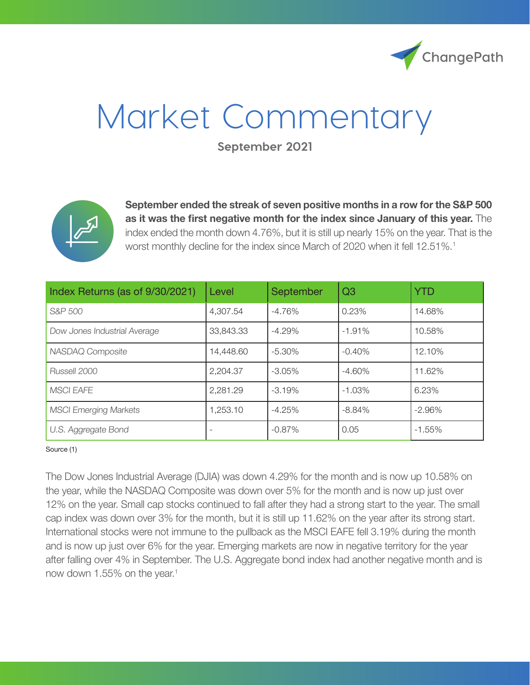

# Market Commentary

**September 2021**



**September ended the streak of seven positive months in a row for the S&P 500 as it was the first negative month for the index since January of this year.** The index ended the month down 4.76%, but it is still up nearly 15% on the year. That is the worst monthly decline for the index since March of 2020 when it fell 12.51%.<sup>1</sup>

| Index Returns (as of 9/30/2021) | Level     | September | Q <sub>3</sub> | <b>YTD</b> |
|---------------------------------|-----------|-----------|----------------|------------|
| S&P 500                         | 4,307.54  | $-4.76%$  | 0.23%          | 14.68%     |
| Dow Jones Industrial Average    | 33,843.33 | $-4.29%$  | $-1.91%$       | 10.58%     |
| NASDAQ Composite                | 14,448.60 | $-5.30\%$ | $-0.40%$       | 12.10%     |
| Russell 2000                    | 2,204.37  | $-3.05\%$ | $-4.60%$       | 11.62%     |
| <b>MSCI EAFE</b>                | 2,281.29  | $-3.19%$  | $-1.03%$       | 6.23%      |
| <b>MSCI Emerging Markets</b>    | 1,253.10  | $-4.25%$  | $-8.84%$       | $-2.96%$   |
| U.S. Aggregate Bond             |           | $-0.87%$  | 0.05           | $-1.55%$   |

#### Source (1)

The Dow Jones Industrial Average (DJIA) was down 4.29% for the month and is now up 10.58% on the year, while the NASDAQ Composite was down over 5% for the month and is now up just over 12% on the year. Small cap stocks continued to fall after they had a strong start to the year. The small cap index was down over 3% for the month, but it is still up 11.62% on the year after its strong start. International stocks were not immune to the pullback as the MSCI EAFE fell 3.19% during the month and is now up just over 6% for the year. Emerging markets are now in negative territory for the year after falling over 4% in September. The U.S. Aggregate bond index had another negative month and is now down 1.55% on the year.<sup>1</sup>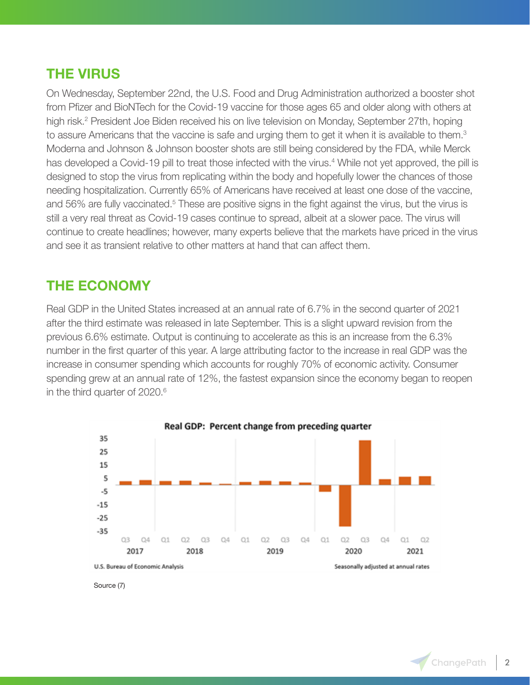### **THE VIRUS**

On Wednesday, September 22nd, the U.S. Food and Drug Administration authorized a booster shot from Pfizer and BioNTech for the Covid-19 vaccine for those ages 65 and older along with others at high risk.<sup>2</sup> President Joe Biden received his on live television on Monday, September 27th, hoping to assure Americans that the vaccine is safe and urging them to get it when it is available to them.<sup>3</sup> Moderna and Johnson & Johnson booster shots are still being considered by the FDA, while Merck has developed a Covid-19 pill to treat those infected with the virus.<sup>4</sup> While not yet approved, the pill is designed to stop the virus from replicating within the body and hopefully lower the chances of those needing hospitalization. Currently 65% of Americans have received at least one dose of the vaccine, and 56% are fully vaccinated.<sup>5</sup> These are positive signs in the fight against the virus, but the virus is still a very real threat as Covid-19 cases continue to spread, albeit at a slower pace. The virus will continue to create headlines; however, many experts believe that the markets have priced in the virus and see it as transient relative to other matters at hand that can affect them.

#### **THE ECONOMY**

Real GDP in the United States increased at an annual rate of 6.7% in the second quarter of 2021 after the third estimate was released in late September. This is a slight upward revision from the previous 6.6% estimate. Output is continuing to accelerate as this is an increase from the 6.3% number in the first quarter of this year. A large attributing factor to the increase in real GDP was the increase in consumer spending which accounts for roughly 70% of economic activity. Consumer spending grew at an annual rate of 12%, the fastest expansion since the economy began to reopen in the third quarter of 2020.<sup>6</sup>



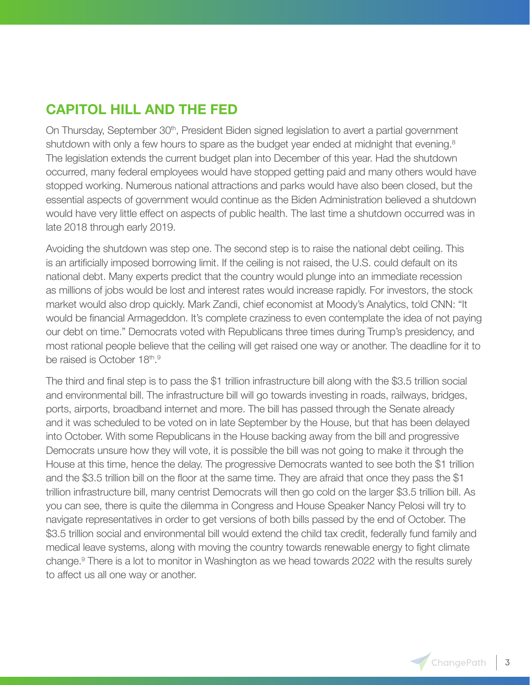## **CAPITOL HILL AND THE FED**

On Thursday, September 30<sup>th</sup>, President Biden signed legislation to avert a partial government shutdown with only a few hours to spare as the budget year ended at midnight that evening.<sup>8</sup> The legislation extends the current budget plan into December of this year. Had the shutdown occurred, many federal employees would have stopped getting paid and many others would have stopped working. Numerous national attractions and parks would have also been closed, but the essential aspects of government would continue as the Biden Administration believed a shutdown would have very little effect on aspects of public health. The last time a shutdown occurred was in late 2018 through early 2019.

Avoiding the shutdown was step one. The second step is to raise the national debt ceiling. This is an artificially imposed borrowing limit. If the ceiling is not raised, the U.S. could default on its national debt. Many experts predict that the country would plunge into an immediate recession as millions of jobs would be lost and interest rates would increase rapidly. For investors, the stock market would also drop quickly. Mark Zandi, chief economist at Moody's Analytics, told CNN: "It would be financial Armageddon. It's complete craziness to even contemplate the idea of not paying our debt on time." Democrats voted with Republicans three times during Trump's presidency, and most rational people believe that the ceiling will get raised one way or another. The deadline for it to be raised is October 18th.<sup>9</sup>

The third and final step is to pass the \$1 trillion infrastructure bill along with the \$3.5 trillion social and environmental bill. The infrastructure bill will go towards investing in roads, railways, bridges, ports, airports, broadband internet and more. The bill has passed through the Senate already and it was scheduled to be voted on in late September by the House, but that has been delayed into October. With some Republicans in the House backing away from the bill and progressive Democrats unsure how they will vote, it is possible the bill was not going to make it through the House at this time, hence the delay. The progressive Democrats wanted to see both the \$1 trillion and the \$3.5 trillion bill on the floor at the same time. They are afraid that once they pass the \$1 trillion infrastructure bill, many centrist Democrats will then go cold on the larger \$3.5 trillion bill. As you can see, there is quite the dilemma in Congress and House Speaker Nancy Pelosi will try to navigate representatives in order to get versions of both bills passed by the end of October. The \$3.5 trillion social and environmental bill would extend the child tax credit, federally fund family and medical leave systems, along with moving the country towards renewable energy to fight climate change.<sup>9</sup> There is a lot to monitor in Washington as we head towards 2022 with the results surely to affect us all one way or another.

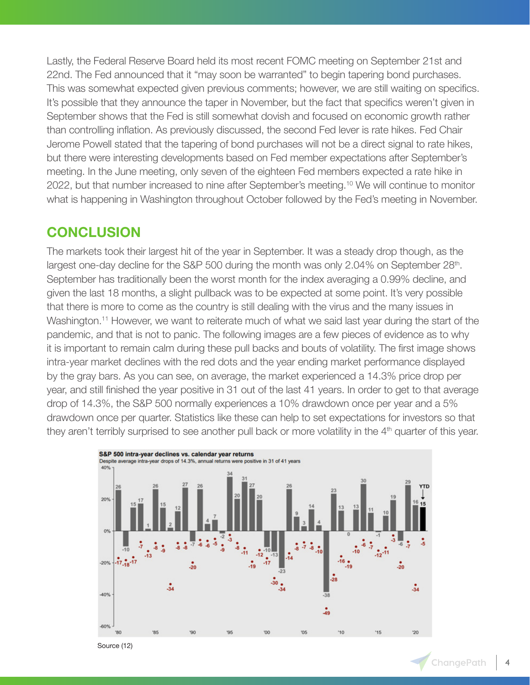Lastly, the Federal Reserve Board held its most recent FOMC meeting on September 21st and 22nd. The Fed announced that it "may soon be warranted" to begin tapering bond purchases. This was somewhat expected given previous comments; however, we are still waiting on specifics. It's possible that they announce the taper in November, but the fact that specifics weren't given in September shows that the Fed is still somewhat dovish and focused on economic growth rather than controlling inflation. As previously discussed, the second Fed lever is rate hikes. Fed Chair Jerome Powell stated that the tapering of bond purchases will not be a direct signal to rate hikes, but there were interesting developments based on Fed member expectations after September's meeting. In the June meeting, only seven of the eighteen Fed members expected a rate hike in 2022, but that number increased to nine after September's meeting.10 We will continue to monitor what is happening in Washington throughout October followed by the Fed's meeting in November.

#### **CONCLUSION**

The markets took their largest hit of the year in September. It was a steady drop though, as the largest one-day decline for the S&P 500 during the month was only 2.04% on September 28<sup>th</sup>. September has traditionally been the worst month for the index averaging a 0.99% decline, and given the last 18 months, a slight pullback was to be expected at some point. It's very possible that there is more to come as the country is still dealing with the virus and the many issues in Washington.<sup>11</sup> However, we want to reiterate much of what we said last year during the start of the pandemic, and that is not to panic. The following images are a few pieces of evidence as to why it is important to remain calm during these pull backs and bouts of volatility. The first image shows intra-year market declines with the red dots and the year ending market performance displayed by the gray bars. As you can see, on average, the market experienced a 14.3% price drop per year, and still finished the year positive in 31 out of the last 41 years. In order to get to that average drop of 14.3%, the S&P 500 normally experiences a 10% drawdown once per year and a 5% drawdown once per quarter. Statistics like these can help to set expectations for investors so that they aren't terribly surprised to see another pull back or more volatility in the  $4<sup>th</sup>$  quarter of this year.



Source (12)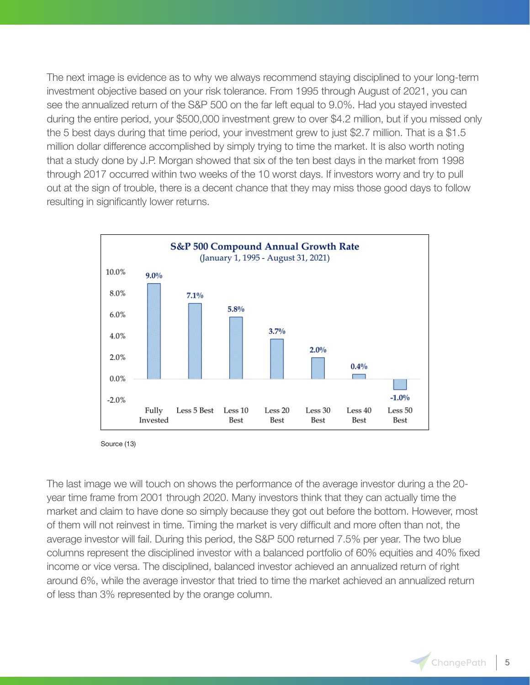The next image is evidence as to why we always recommend staying disciplined to your long-term investment objective based on your risk tolerance. From 1995 through August of 2021, you can see the annualized return of the S&P 500 on the far left equal to 9.0%. Had you stayed invested during the entire period, your \$500,000 investment grew to over \$4.2 million, but if you missed only the 5 best days during that time period, your investment grew to just \$2.7 million. That is a \$1.5 million dollar difference accomplished by simply trying to time the market. It is also worth noting that a study done by J.P. Morgan showed that six of the ten best days in the market from 1998 through 2017 occurred within two weeks of the 10 worst days. If investors worry and try to pull out at the sign of trouble, there is a decent chance that they may miss those good days to follow resulting in significantly lower returns.



Source (13)

The last image we will touch on shows the performance of the average investor during a the 20 year time frame from 2001 through 2020. Many investors think that they can actually time the market and claim to have done so simply because they got out before the bottom. However, most of them will not reinvest in time. Timing the market is very difficult and more often than not, the average investor will fail. During this period, the S&P 500 returned 7.5% per year. The two blue columns represent the disciplined investor with a balanced portfolio of 60% equities and 40% fixed income or vice versa. The disciplined, balanced investor achieved an annualized return of right around 6%, while the average investor that tried to time the market achieved an annualized return of less than 3% represented by the orange column.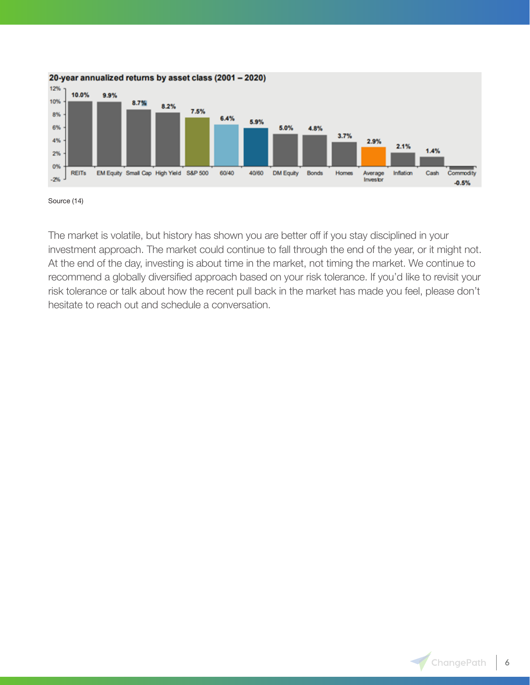

Source (14)

The market is volatile, but history has shown you are better off if you stay disciplined in your investment approach. The market could continue to fall through the end of the year, or it might not. At the end of the day, investing is about time in the market, not timing the market. We continue to recommend a globally diversified approach based on your risk tolerance. If you'd like to revisit your risk tolerance or talk about how the recent pull back in the market has made you feel, please don't hesitate to reach out and schedule a conversation.